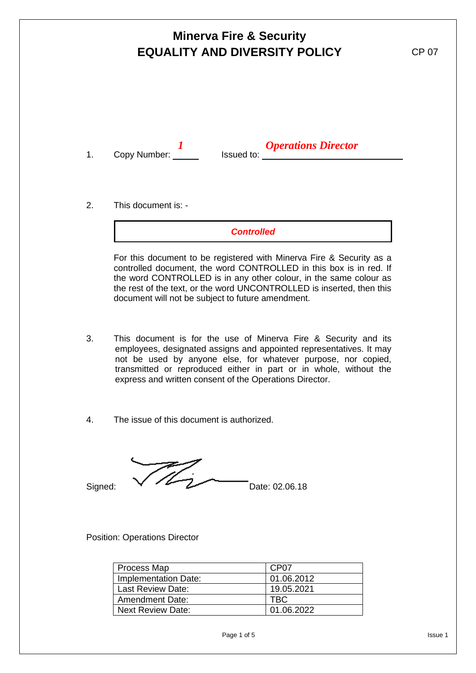|    | <b>Minerva Fire &amp; Security</b><br><b>EQUALITY AND DIVERSITY POLICY</b> | <b>CP 07</b>                                                                                                                                 |  |
|----|----------------------------------------------------------------------------|----------------------------------------------------------------------------------------------------------------------------------------------|--|
| 1. | Copy Number: ___                                                           | <b>Operations Director</b><br>Issued to: the contract of the contract of the contract of the contract of the contract of the contract of the |  |
| 2. | This document is: -                                                        | <b>Controlled</b>                                                                                                                            |  |

For this document to be registered with Minerva Fire & Security as a controlled document, the word CONTROLLED in this box is in red. If the word CONTROLLED is in any other colour, in the same colour as the rest of the text, or the word UNCONTROLLED is inserted, then this document will not be subject to future amendment.

- 3. This document is for the use of Minerva Fire & Security and its employees, designated assigns and appointed representatives. It may not be used by anyone else, for whatever purpose, nor copied, transmitted or reproduced either in part or in whole, without the express and written consent of the Operations Director.
- 4. The issue of this document is authorized.

Signed:  $\sqrt{2}$  Date: 02.06.18

Position: Operations Director

| <b>Process Map</b>     | CP <sub>07</sub> |
|------------------------|------------------|
| Implementation Date:   | 01.06.2012       |
| Last Review Date:      | 19.05.2021       |
| <b>Amendment Date:</b> | TBC              |
| l Next Review Date:    | 01.06.2022       |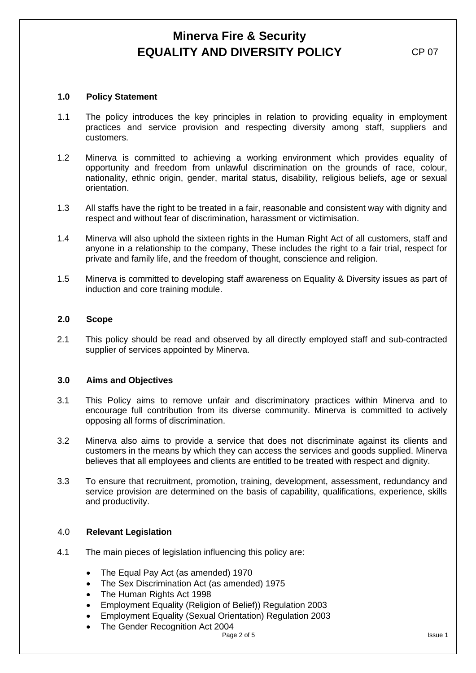### **1.0 Policy Statement**

- 1.1 The policy introduces the key principles in relation to providing equality in employment practices and service provision and respecting diversity among staff, suppliers and customers.
- 1.2 Minerva is committed to achieving a working environment which provides equality of opportunity and freedom from unlawful discrimination on the grounds of race, colour, nationality, ethnic origin, gender, marital status, disability, religious beliefs, age or sexual orientation.
- 1.3 All staffs have the right to be treated in a fair, reasonable and consistent way with dignity and respect and without fear of discrimination, harassment or victimisation.
- 1.4 Minerva will also uphold the sixteen rights in the Human Right Act of all customers, staff and anyone in a relationship to the company, These includes the right to a fair trial, respect for private and family life, and the freedom of thought, conscience and religion.
- 1.5 Minerva is committed to developing staff awareness on Equality & Diversity issues as part of induction and core training module.

## **2.0 Scope**

2.1 This policy should be read and observed by all directly employed staff and sub-contracted supplier of services appointed by Minerva.

#### **3.0 Aims and Objectives**

- 3.1 This Policy aims to remove unfair and discriminatory practices within Minerva and to encourage full contribution from its diverse community. Minerva is committed to actively opposing all forms of discrimination.
- 3.2 Minerva also aims to provide a service that does not discriminate against its clients and customers in the means by which they can access the services and goods supplied. Minerva believes that all employees and clients are entitled to be treated with respect and dignity.
- 3.3 To ensure that recruitment, promotion, training, development, assessment, redundancy and service provision are determined on the basis of capability, qualifications, experience, skills and productivity.

#### 4.0 **Relevant Legislation**

- 4.1 The main pieces of legislation influencing this policy are:
	- The Equal Pay Act (as amended) 1970
	- The Sex Discrimination Act (as amended) 1975
	- The Human Rights Act 1998
	- Employment Equality (Religion of Belief)) Regulation 2003
	- Employment Equality (Sexual Orientation) Regulation 2003
	- The Gender Recognition Act 2004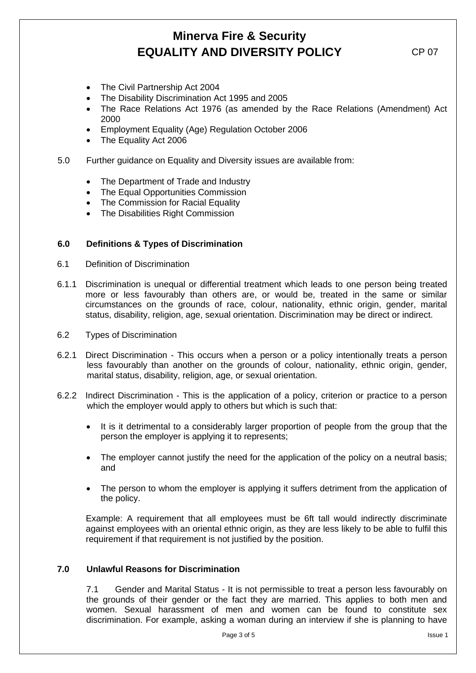• The Civil Partnership Act 2004

- The Disability Discrimination Act 1995 and 2005
- The Race Relations Act 1976 (as amended by the Race Relations (Amendment) Act 2000
- Employment Equality (Age) Regulation October 2006
- The Equality Act 2006
- 5.0 Further guidance on Equality and Diversity issues are available from:
	- The Department of Trade and Industry
	- The Equal Opportunities Commission
	- The Commission for Racial Equality
	- The Disabilities Right Commission

### **6.0 Definitions & Types of Discrimination**

- 6.1 Definition of Discrimination
- 6.1.1 Discrimination is unequal or differential treatment which leads to one person being treated more or less favourably than others are, or would be, treated in the same or similar circumstances on the grounds of race, colour, nationality, ethnic origin, gender, marital status, disability, religion, age, sexual orientation. Discrimination may be direct or indirect.
- 6.2 Types of Discrimination
- 6.2.1 Direct Discrimination This occurs when a person or a policy intentionally treats a person less favourably than another on the grounds of colour, nationality, ethnic origin, gender, marital status, disability, religion, age, or sexual orientation.
- 6.2.2 Indirect Discrimination This is the application of a policy, criterion or practice to a person which the employer would apply to others but which is such that:
	- It is it detrimental to a considerably larger proportion of people from the group that the person the employer is applying it to represents;
	- The employer cannot justify the need for the application of the policy on a neutral basis; and
	- The person to whom the employer is applying it suffers detriment from the application of the policy.

Example: A requirement that all employees must be 6ft tall would indirectly discriminate against employees with an oriental ethnic origin, as they are less likely to be able to fulfil this requirement if that requirement is not justified by the position.

### **7.0 Unlawful Reasons for Discrimination**

7.1 Gender and Marital Status - It is not permissible to treat a person less favourably on the grounds of their gender or the fact they are married. This applies to both men and women. Sexual harassment of men and women can be found to constitute sex discrimination. For example, asking a woman during an interview if she is planning to have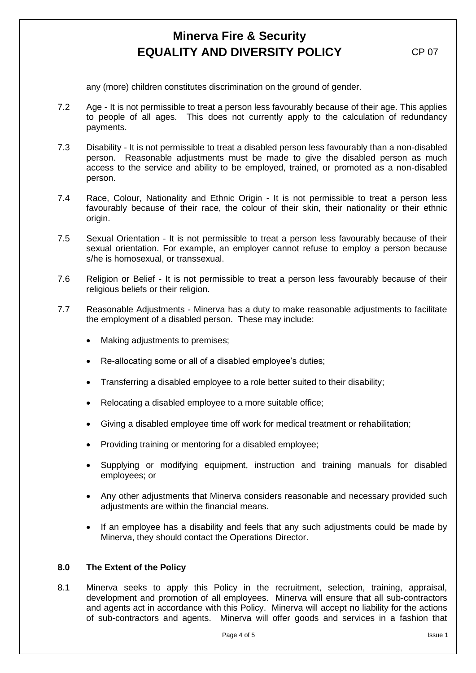any (more) children constitutes discrimination on the ground of gender.

- 7.2 Age It is not permissible to treat a person less favourably because of their age. This applies to people of all ages. This does not currently apply to the calculation of redundancy payments.
- 7.3 Disability It is not permissible to treat a disabled person less favourably than a non-disabled person. Reasonable adjustments must be made to give the disabled person as much access to the service and ability to be employed, trained, or promoted as a non-disabled person.
- 7.4 Race, Colour, Nationality and Ethnic Origin It is not permissible to treat a person less favourably because of their race, the colour of their skin, their nationality or their ethnic origin.
- 7.5 Sexual Orientation It is not permissible to treat a person less favourably because of their sexual orientation. For example, an employer cannot refuse to employ a person because s/he is homosexual, or transsexual.
- 7.6 Religion or Belief It is not permissible to treat a person less favourably because of their religious beliefs or their religion.
- 7.7 Reasonable Adjustments Minerva has a duty to make reasonable adjustments to facilitate the employment of a disabled person. These may include:
	- Making adjustments to premises;
	- Re-allocating some or all of a disabled employee's duties;
	- Transferring a disabled employee to a role better suited to their disability;
	- Relocating a disabled employee to a more suitable office;
	- Giving a disabled employee time off work for medical treatment or rehabilitation;
	- Providing training or mentoring for a disabled employee;
	- Supplying or modifying equipment, instruction and training manuals for disabled employees; or
	- Any other adjustments that Minerva considers reasonable and necessary provided such adjustments are within the financial means.
	- If an employee has a disability and feels that any such adjustments could be made by Minerva, they should contact the Operations Director.

#### **8.0 The Extent of the Policy**

8.1 Minerva seeks to apply this Policy in the recruitment, selection, training, appraisal, development and promotion of all employees. Minerva will ensure that all sub-contractors and agents act in accordance with this Policy. Minerva will accept no liability for the actions of sub-contractors and agents. Minerva will offer goods and services in a fashion that